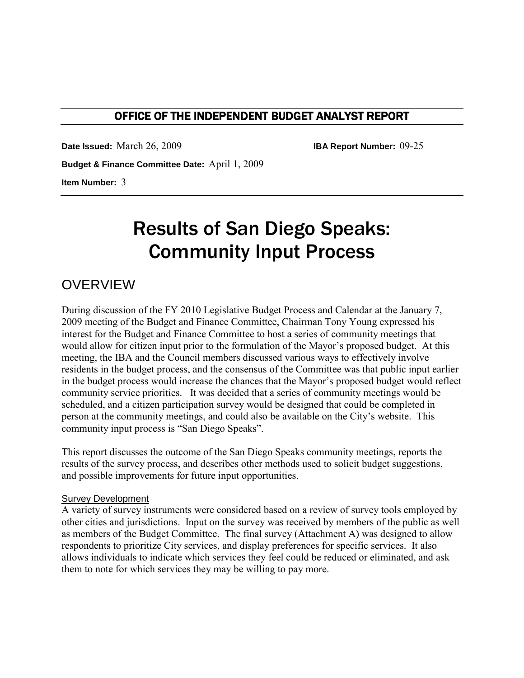## OFFICE OF THE INDEPENDENT BUDGET ANALYST REPORT

**Date Issued:** March 26, 2009 **IBA Report Number:** 09-25

**Budget & Finance Committee Date:** April 1, 2009

**Item Number:** 3

# Results of San Diego Speaks: Community Input Process

# **OVERVIEW**

During discussion of the FY 2010 Legislative Budget Process and Calendar at the January 7, 2009 meeting of the Budget and Finance Committee, Chairman Tony Young expressed his interest for the Budget and Finance Committee to host a series of community meetings that would allow for citizen input prior to the formulation of the Mayor's proposed budget. At this meeting, the IBA and the Council members discussed various ways to effectively involve residents in the budget process, and the consensus of the Committee was that public input earlier in the budget process would increase the chances that the Mayor's proposed budget would reflect community service priorities. It was decided that a series of community meetings would be scheduled, and a citizen participation survey would be designed that could be completed in person at the community meetings, and could also be available on the City's website. This community input process is "San Diego Speaks".

This report discusses the outcome of the San Diego Speaks community meetings, reports the results of the survey process, and describes other methods used to solicit budget suggestions, and possible improvements for future input opportunities.

#### Survey Development

A variety of survey instruments were considered based on a review of survey tools employed by other cities and jurisdictions. Input on the survey was received by members of the public as well as members of the Budget Committee. The final survey (Attachment A) was designed to allow respondents to prioritize City services, and display preferences for specific services. It also allows individuals to indicate which services they feel could be reduced or eliminated, and ask them to note for which services they may be willing to pay more.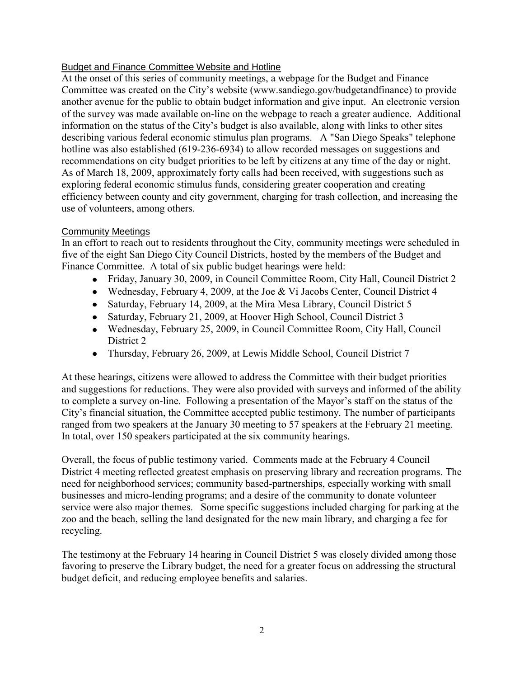#### Budget and Finance Committee Website and Hotline

At the onset of this series of community meetings, a webpage for the Budget and Finance Committee was created on the City's website (www.sandiego.gov/budgetandfinance) to provide another avenue for the public to obtain budget information and give input. An electronic version of the survey was made available on-line on the webpage to reach a greater audience. Additional information on the status of the City's budget is also available, along with links to other sites describing various federal economic stimulus plan programs. A "San Diego Speaks" telephone hotline was also established (619-236-6934) to allow recorded messages on suggestions and recommendations on city budget priorities to be left by citizens at any time of the day or night. As of March 18, 2009, approximately forty calls had been received, with suggestions such as exploring federal economic stimulus funds, considering greater cooperation and creating efficiency between county and city government, charging for trash collection, and increasing the use of volunteers, among others.

#### Community Meetings

In an effort to reach out to residents throughout the City, community meetings were scheduled in five of the eight San Diego City Council Districts, hosted by the members of the Budget and Finance Committee. A total of six public budget hearings were held:

- Friday, January 30, 2009, in Council Committee Room, City Hall, Council District 2
- Wednesday, February 4, 2009, at the Joe & Vi Jacobs Center, Council District 4
- Saturday, February 14, 2009, at the Mira Mesa Library, Council District 5
- Saturday, February 21, 2009, at Hoover High School, Council District 3
- Wednesday, February 25, 2009, in Council Committee Room, City Hall, Council District 2
- Thursday, February 26, 2009, at Lewis Middle School, Council District 7

At these hearings, citizens were allowed to address the Committee with their budget priorities and suggestions for reductions. They were also provided with surveys and informed of the ability to complete a survey on-line. Following a presentation of the Mayor's staff on the status of the City's financial situation, the Committee accepted public testimony. The number of participants ranged from two speakers at the January 30 meeting to 57 speakers at the February 21 meeting. In total, over 150 speakers participated at the six community hearings.

Overall, the focus of public testimony varied. Comments made at the February 4 Council District 4 meeting reflected greatest emphasis on preserving library and recreation programs. The need for neighborhood services; community based-partnerships, especially working with small businesses and micro-lending programs; and a desire of the community to donate volunteer service were also major themes. Some specific suggestions included charging for parking at the zoo and the beach, selling the land designated for the new main library, and charging a fee for recycling.

The testimony at the February 14 hearing in Council District 5 was closely divided among those favoring to preserve the Library budget, the need for a greater focus on addressing the structural budget deficit, and reducing employee benefits and salaries.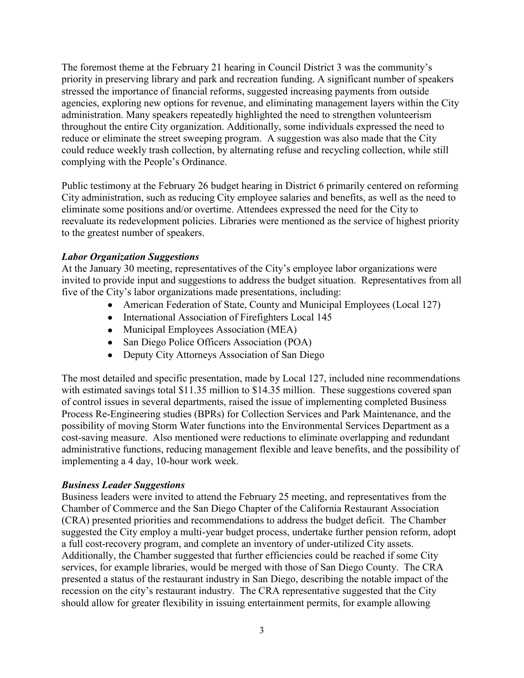The foremost theme at the February 21 hearing in Council District 3 was the community's priority in preserving library and park and recreation funding. A significant number of speakers stressed the importance of financial reforms, suggested increasing payments from outside agencies, exploring new options for revenue, and eliminating management layers within the City administration. Many speakers repeatedly highlighted the need to strengthen volunteerism throughout the entire City organization. Additionally, some individuals expressed the need to reduce or eliminate the street sweeping program. A suggestion was also made that the City could reduce weekly trash collection, by alternating refuse and recycling collection, while still complying with the People's Ordinance.

Public testimony at the February 26 budget hearing in District 6 primarily centered on reforming City administration, such as reducing City employee salaries and benefits, as well as the need to eliminate some positions and/or overtime. Attendees expressed the need for the City to reevaluate its redevelopment policies. Libraries were mentioned as the service of highest priority to the greatest number of speakers.

#### *Labor Organization Suggestions*

At the January 30 meeting, representatives of the City's employee labor organizations were invited to provide input and suggestions to address the budget situation. Representatives from all five of the City's labor organizations made presentations, including:

- American Federation of State, County and Municipal Employees (Local 127)
- International Association of Firefighters Local 145
- Municipal Employees Association (MEA)
- San Diego Police Officers Association (POA)
- Deputy City Attorneys Association of San Diego

The most detailed and specific presentation, made by Local 127, included nine recommendations with estimated savings total \$11.35 million to \$14.35 million. These suggestions covered span of control issues in several departments, raised the issue of implementing completed Business Process Re-Engineering studies (BPRs) for Collection Services and Park Maintenance, and the possibility of moving Storm Water functions into the Environmental Services Department as a cost-saving measure. Also mentioned were reductions to eliminate overlapping and redundant administrative functions, reducing management flexible and leave benefits, and the possibility of implementing a 4 day, 10-hour work week.

#### *Business Leader Suggestions*

Business leaders were invited to attend the February 25 meeting, and representatives from the Chamber of Commerce and the San Diego Chapter of the California Restaurant Association (CRA) presented priorities and recommendations to address the budget deficit. The Chamber suggested the City employ a multi-year budget process, undertake further pension reform, adopt a full cost-recovery program, and complete an inventory of under-utilized City assets. Additionally, the Chamber suggested that further efficiencies could be reached if some City services, for example libraries, would be merged with those of San Diego County. The CRA presented a status of the restaurant industry in San Diego, describing the notable impact of the recession on the city's restaurant industry. The CRA representative suggested that the City should allow for greater flexibility in issuing entertainment permits, for example allowing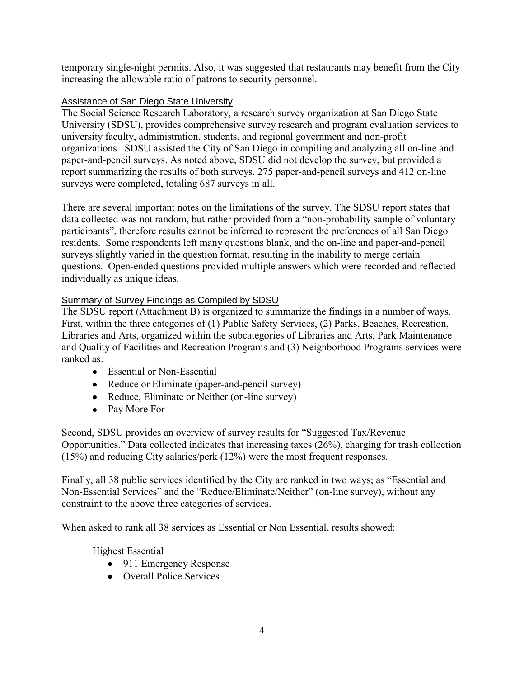temporary single-night permits. Also, it was suggested that restaurants may benefit from the City increasing the allowable ratio of patrons to security personnel.

### Assistance of San Diego State University

The Social Science Research Laboratory, a research survey organization at San Diego State University (SDSU), provides comprehensive survey research and program evaluation services to university faculty, administration, students, and regional government and non-profit organizations. SDSU assisted the City of San Diego in compiling and analyzing all on-line and paper-and-pencil surveys. As noted above, SDSU did not develop the survey, but provided a report summarizing the results of both surveys. 275 paper-and-pencil surveys and 412 on-line surveys were completed, totaling 687 surveys in all.

There are several important notes on the limitations of the survey. The SDSU report states that data collected was not random, but rather provided from a "non-probability sample of voluntary participants", therefore results cannot be inferred to represent the preferences of all San Diego residents. Some respondents left many questions blank, and the on-line and paper-and-pencil surveys slightly varied in the question format, resulting in the inability to merge certain questions. Open-ended questions provided multiple answers which were recorded and reflected individually as unique ideas.

### Summary of Survey Findings as Compiled by SDSU

The SDSU report (Attachment B) is organized to summarize the findings in a number of ways. First, within the three categories of (1) Public Safety Services, (2) Parks, Beaches, Recreation, Libraries and Arts, organized within the subcategories of Libraries and Arts, Park Maintenance and Quality of Facilities and Recreation Programs and (3) Neighborhood Programs services were ranked as:

- Essential or Non-Essential
- Reduce or Eliminate (paper-and-pencil survey)
- Reduce, Eliminate or Neither (on-line survey)
- Pay More For

Second, SDSU provides an overview of survey results for "Suggested Tax/Revenue Opportunities." Data collected indicates that increasing taxes (26%), charging for trash collection (15%) and reducing City salaries/perk (12%) were the most frequent responses.

Finally, all 38 public services identified by the City are ranked in two ways; as "Essential and Non-Essential Services" and the "Reduce/Eliminate/Neither" (on-line survey), without any constraint to the above three categories of services.

When asked to rank all 38 services as Essential or Non Essential, results showed:

#### Highest Essential

- 911 Emergency Response
- Overall Police Services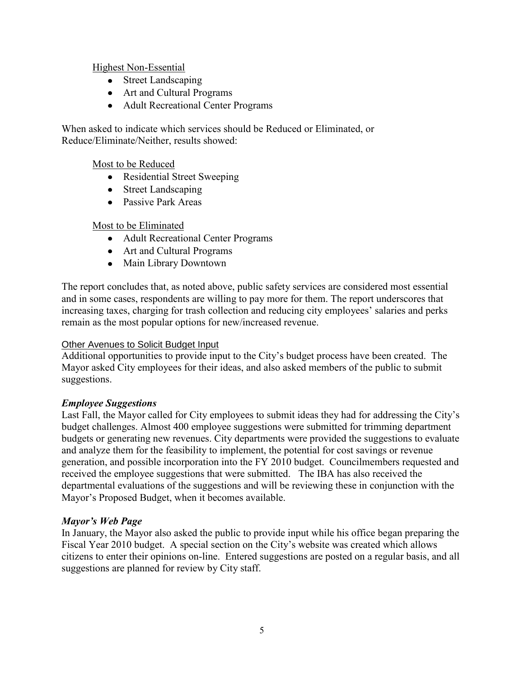#### Highest Non-Essential

- Street Landscaping
- Art and Cultural Programs
- Adult Recreational Center Programs

When asked to indicate which services should be Reduced or Eliminated, or Reduce/Eliminate/Neither, results showed:

#### Most to be Reduced

- Residential Street Sweeping
- Street Landscaping
- Passive Park Areas

#### Most to be Eliminated

- Adult Recreational Center Programs
- Art and Cultural Programs
- Main Library Downtown

The report concludes that, as noted above, public safety services are considered most essential and in some cases, respondents are willing to pay more for them. The report underscores that increasing taxes, charging for trash collection and reducing city employees' salaries and perks remain as the most popular options for new/increased revenue.

#### Other Avenues to Solicit Budget Input

Additional opportunities to provide input to the City's budget process have been created. The Mayor asked City employees for their ideas, and also asked members of the public to submit suggestions.

#### *Employee Suggestions*

Last Fall, the Mayor called for City employees to submit ideas they had for addressing the City's budget challenges. Almost 400 employee suggestions were submitted for trimming department budgets or generating new revenues. City departments were provided the suggestions to evaluate and analyze them for the feasibility to implement, the potential for cost savings or revenue generation, and possible incorporation into the FY 2010 budget. Councilmembers requested and received the employee suggestions that were submitted. The IBA has also received the departmental evaluations of the suggestions and will be reviewing these in conjunction with the Mayor's Proposed Budget, when it becomes available.

#### *Mayor's Web Page*

In January, the Mayor also asked the public to provide input while his office began preparing the Fiscal Year 2010 budget. A special section on the City's website was created which allows citizens to enter their opinions on-line. Entered suggestions are posted on a regular basis, and all suggestions are planned for review by City staff.